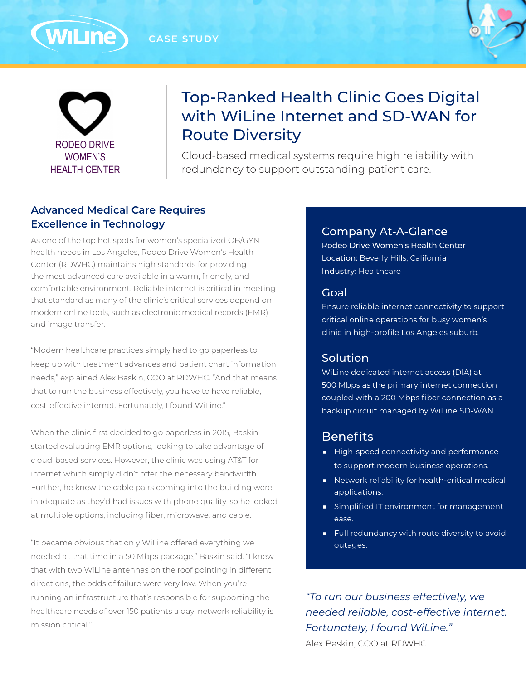**CASE STUDY**





(WiLine)

# Top-Ranked Health Clinic Goes Digital with WiLine Internet and SD-WAN for Route Diversity

Cloud-based medical systems require high reliability with redundancy to support outstanding patient care.

# **Advanced Medical Care Requires Excellence in Technology**

As one of the top hot spots for women's specialized OB/GYN health needs in Los Angeles, Rodeo Drive Women's Health Center (RDWHC) maintains high standards for providing the most advanced care available in a warm, friendly, and comfortable environment. Reliable internet is critical in meeting that standard as many of the clinic's critical services depend on modern online tools, such as electronic medical records (EMR) and image transfer.

"Modern healthcare practices simply had to go paperless to keep up with treatment advances and patient chart information needs," explained Alex Baskin, COO at RDWHC. "And that means that to run the business effectively, you have to have reliable, cost-effective internet. Fortunately, I found WiLine."

When the clinic first decided to go paperless in 2015, Baskin started evaluating EMR options, looking to take advantage of cloud-based services. However, the clinic was using AT&T for internet which simply didn't offer the necessary bandwidth. Further, he knew the cable pairs coming into the building were inadequate as they'd had issues with phone quality, so he looked at multiple options, including fiber, microwave, and cable.

"It became obvious that only WiLine offered everything we needed at that time in a 50 Mbps package," Baskin said. "I knew that with two WiLine antennas on the roof pointing in different directions, the odds of failure were very low. When you're running an infrastructure that's responsible for supporting the healthcare needs of over 150 patients a day, network reliability is mission critical."

#### Company At-A-Glance

Rodeo Drive Women's Health Center Location: Beverly Hills, California Industry: Healthcare

#### Goal

Ensure reliable internet connectivity to support critical online operations for busy women's clinic in high-profile Los Angeles suburb.

## **Solution**

WiLine dedicated internet access (DIA) at 500 Mbps as the primary internet connection coupled with a 200 Mbps fiber connection as a backup circuit managed by WiLine SD-WAN.

# **Benefits**

- High-speed connectivity and performance to support modern business operations.
- Network reliability for health-critical medical applications.
- Simplified IT environment for management ease.
- Full redundancy with route diversity to avoid outages.

*"To run our business effectively, we needed reliable, cost-effective internet. Fortunately, I found WiLine."*

Alex Baskin, COO at RDWHC